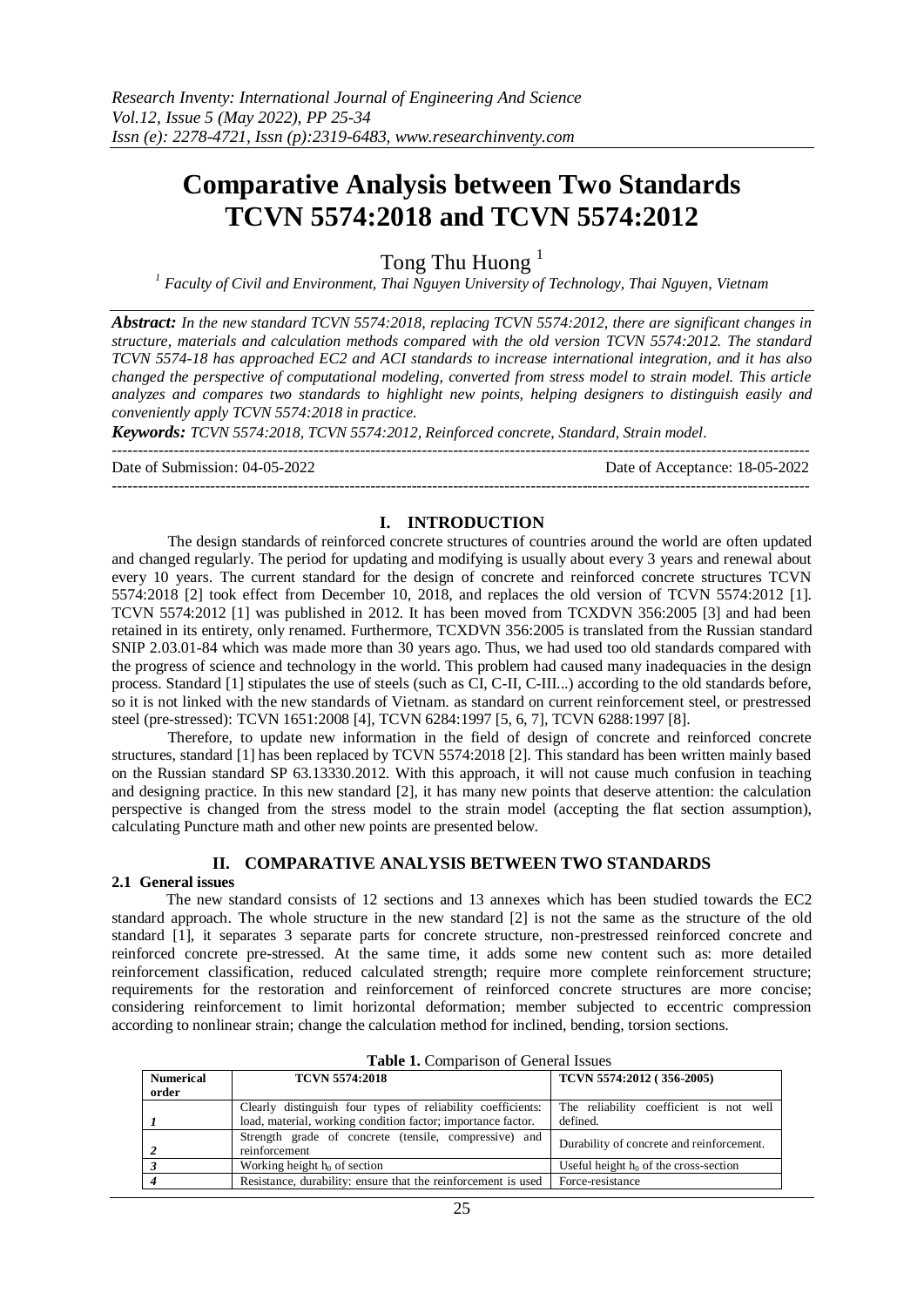# **Comparative Analysis between Two Standards TCVN 5574:2018 and TCVN 5574:2012**

Tong Thu Huong<sup>1</sup>

*<sup>1</sup> Faculty of Civil and Environment, Thai Nguyen University of Technology, Thai Nguyen, Vietnam*

*Abstract: In the new standard TCVN 5574:2018, replacing TCVN 5574:2012, there are significant changes in structure, materials and calculation methods compared with the old version TCVN 5574:2012. The standard TCVN 5574-18 has approached EC2 and ACI standards to increase international integration, and it has also changed the perspective of computational modeling, converted from stress model to strain model. This article analyzes and compares two standards to highlight new points, helping designers to distinguish easily and conveniently apply TCVN 5574:2018 in practice.*

*Keywords: TCVN 5574:2018, TCVN 5574:2012, Reinforced concrete, Standard, Strain model.*

--------------------------------------------------------------------------------------------------------------------------------------- Date of Submission: 04-05-2022 Date of Acceptance: 18-05-2022

---------------------------------------------------------------------------------------------------------------------------------------

# **I. INTRODUCTION**

The design standards of reinforced concrete structures of countries around the world are often updated and changed regularly. The period for updating and modifying is usually about every 3 years and renewal about every 10 years. The current standard for the design of concrete and reinforced concrete structures TCVN 5574:2018 [2] took effect from December 10, 2018, and replaces the old version of TCVN 5574:2012 [1]. TCVN 5574:2012 [1] was published in 2012. It has been moved from TCXDVN 356:2005 [3] and had been retained in its entirety, only renamed. Furthermore, TCXDVN 356:2005 is translated from the Russian standard SNIP 2.03.01-84 which was made more than 30 years ago. Thus, we had used too old standards compared with the progress of science and technology in the world. This problem had caused many inadequacies in the design process. Standard [1] stipulates the use of steels (such as CI, C-II, C-III...) according to the old standards before, so it is not linked with the new standards of Vietnam. as standard on current reinforcement steel, or prestressed steel (pre-stressed): TCVN 1651:2008 [4], TCVN 6284:1997 [5, 6, 7], TCVN 6288:1997 [8].

Therefore, to update new information in the field of design of concrete and reinforced concrete structures, standard [1] has been replaced by TCVN 5574:2018 [2]. This standard has been written mainly based on the Russian standard SP 63.13330.2012. With this approach, it will not cause much confusion in teaching and designing practice. In this new standard [2], it has many new points that deserve attention: the calculation perspective is changed from the stress model to the strain model (accepting the flat section assumption), calculating Puncture math and other new points are presented below.

# **II. COMPARATIVE ANALYSIS BETWEEN TWO STANDARDS**

### **2.1 General issues**

The new standard consists of 12 sections and 13 annexes which has been studied towards the EC2 standard approach. The whole structure in the new standard [2] is not the same as the structure of the old standard [1], it separates 3 separate parts for concrete structure, non-prestressed reinforced concrete and reinforced concrete pre-stressed. At the same time, it adds some new content such as: more detailed reinforcement classification, reduced calculated strength; require more complete reinforcement structure; requirements for the restoration and reinforcement of reinforced concrete structures are more concise; considering reinforcement to limit horizontal deformation; member subjected to eccentric compression according to nonlinear strain; change the calculation method for inclined, bending, torsion sections.

| Table 1. Combarison of General Issues |                                                                                                                             |                                                     |  |
|---------------------------------------|-----------------------------------------------------------------------------------------------------------------------------|-----------------------------------------------------|--|
| <b>Numerical</b><br>order             | <b>TCVN 5574:2018</b>                                                                                                       | TCVN 5574:2012 (356-2005)                           |  |
|                                       | Clearly distinguish four types of reliability coefficients:<br>load, material, working condition factor; importance factor. | The reliability coefficient is not well<br>defined. |  |
|                                       | Strength grade of concrete (tensile, compressive) and<br>reinforcement                                                      | Durability of concrete and reinforcement.           |  |
|                                       | Working height $h_0$ of section                                                                                             | Useful height $h_0$ of the cross-section            |  |
|                                       | Resistance, durability: ensure that the reinforcement is used                                                               | Force-resistance                                    |  |

| Table 1. Comparison of General Issues |  |
|---------------------------------------|--|
|---------------------------------------|--|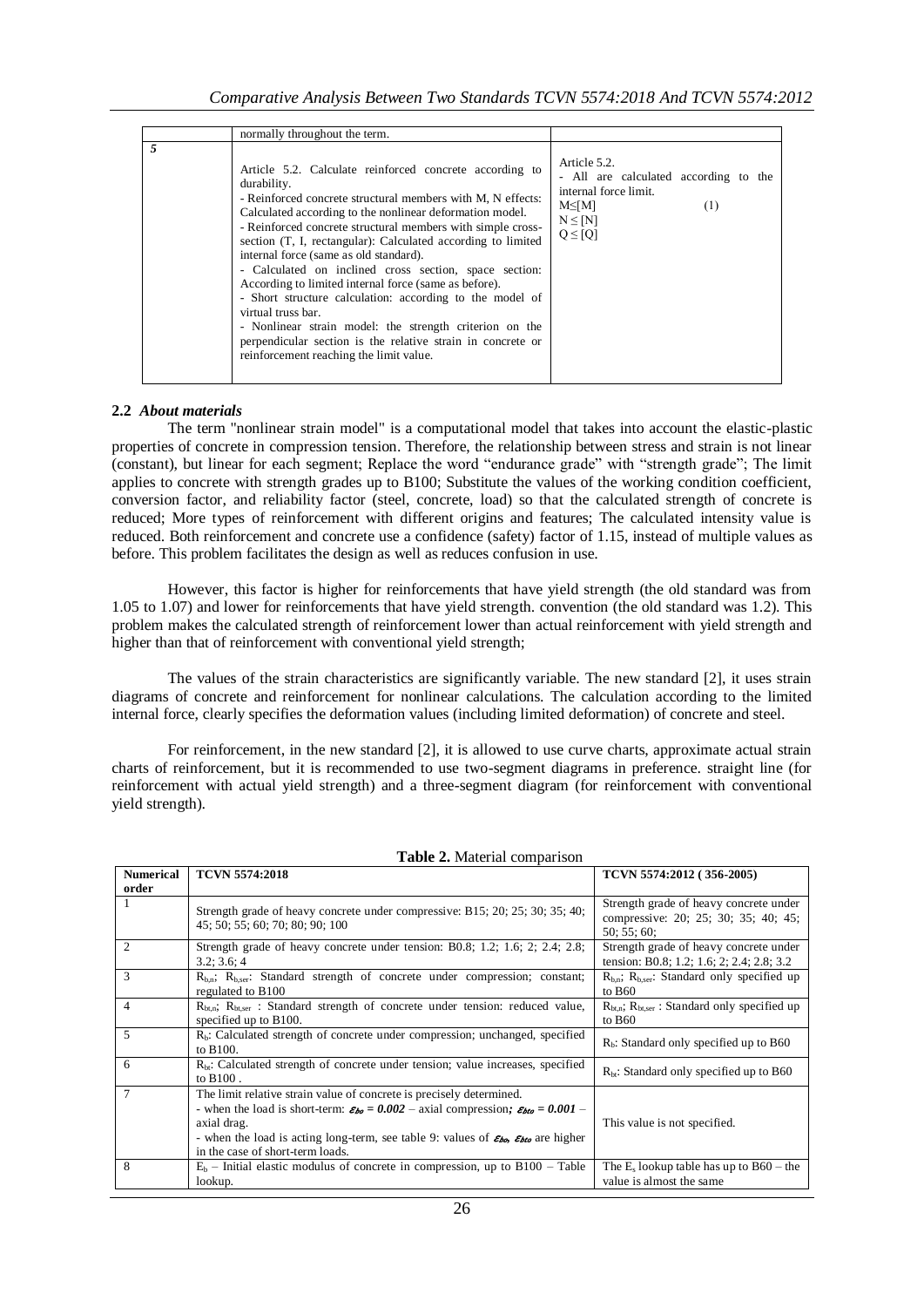|   | normally throughout the term.                                                                                                                                                                                                                                                                                                                                                                                                                                                                                                                                                                                                                                                                                                                        |                                                                                                                                     |
|---|------------------------------------------------------------------------------------------------------------------------------------------------------------------------------------------------------------------------------------------------------------------------------------------------------------------------------------------------------------------------------------------------------------------------------------------------------------------------------------------------------------------------------------------------------------------------------------------------------------------------------------------------------------------------------------------------------------------------------------------------------|-------------------------------------------------------------------------------------------------------------------------------------|
| 5 | Article 5.2. Calculate reinforced concrete according to<br>durability.<br>- Reinforced concrete structural members with M, N effects:<br>Calculated according to the nonlinear deformation model.<br>- Reinforced concrete structural members with simple cross-<br>section (T, I, rectangular): Calculated according to limited<br>internal force (same as old standard).<br>- Calculated on inclined cross section, space section:<br>According to limited internal force (same as before).<br>- Short structure calculation: according to the model of<br>virtual truss bar.<br>- Nonlinear strain model: the strength criterion on the<br>perpendicular section is the relative strain in concrete or<br>reinforcement reaching the limit value. | Article 5.2.<br>- All are calculated according to the<br>internal force limit.<br>$M \leq M$<br>(1)<br>$N \leq [N]$<br>$Q \leq [Q]$ |

## **2.2** *About materials*

The term "nonlinear strain model" is a computational model that takes into account the elastic-plastic properties of concrete in compression tension. Therefore, the relationship between stress and strain is not linear (constant), but linear for each segment; Replace the word "endurance grade" with "strength grade"; The limit applies to concrete with strength grades up to B100; Substitute the values of the working condition coefficient, conversion factor, and reliability factor (steel, concrete, load) so that the calculated strength of concrete is reduced; More types of reinforcement with different origins and features; The calculated intensity value is reduced. Both reinforcement and concrete use a confidence (safety) factor of 1.15, instead of multiple values as before. This problem facilitates the design as well as reduces confusion in use.

However, this factor is higher for reinforcements that have yield strength (the old standard was from 1.05 to 1.07) and lower for reinforcements that have yield strength. convention (the old standard was 1.2). This problem makes the calculated strength of reinforcement lower than actual reinforcement with yield strength and higher than that of reinforcement with conventional yield strength;

The values of the strain characteristics are significantly variable. The new standard [2], it uses strain diagrams of concrete and reinforcement for nonlinear calculations. The calculation according to the limited internal force, clearly specifies the deformation values (including limited deformation) of concrete and steel.

For reinforcement, in the new standard [2], it is allowed to use curve charts, approximate actual strain charts of reinforcement, but it is recommended to use two-segment diagrams in preference. straight line (for reinforcement with actual yield strength) and a three-segment diagram (for reinforcement with conventional yield strength).

| <b>Numerical</b>            | <b>TCVN 5574:2018</b>                                                                                                                                                                                                                                                                                                                          | TCVN 5574:2012 (356-2005)                                                                   |
|-----------------------------|------------------------------------------------------------------------------------------------------------------------------------------------------------------------------------------------------------------------------------------------------------------------------------------------------------------------------------------------|---------------------------------------------------------------------------------------------|
| order                       |                                                                                                                                                                                                                                                                                                                                                |                                                                                             |
| 1                           | Strength grade of heavy concrete under compressive: B15; 20; 25; 30; 35; 40;<br>45; 50; 55; 60; 70; 80; 90; 100                                                                                                                                                                                                                                | Strength grade of heavy concrete under<br>compressive: 20; 25; 30; 35; 40; 45;<br>50:55:60: |
| $\mathcal{D}_{\mathcal{L}}$ | Strength grade of heavy concrete under tension: B0.8; 1.2; 1.6; 2; 2.4; 2.8;<br>3.2; 3.6; 4                                                                                                                                                                                                                                                    | Strength grade of heavy concrete under<br>tension: B0.8; 1.2; 1.6; 2; 2.4; 2.8; 3.2         |
| 3                           | $R_{b,n}$ ; $R_{b,ser}$ : Standard strength of concrete under compression; constant;<br>regulated to B100                                                                                                                                                                                                                                      | $R_{b,n}$ ; $R_{b,ser}$ : Standard only specified up<br>to $B60$                            |
| $\overline{4}$              | $R_{\text{bt,n}}$ ; $R_{\text{bt,ser}}$ : Standard strength of concrete under tension: reduced value,<br>specified up to B100.                                                                                                                                                                                                                 | $R_{\text{bt,n}}$ ; $R_{\text{bt,ser}}$ : Standard only specified up<br>to $B60$            |
| 5                           | $R_b$ : Calculated strength of concrete under compression; unchanged, specified<br>to B100.                                                                                                                                                                                                                                                    | $R_h$ : Standard only specified up to B60                                                   |
| 6                           | $R_{\text{bt}}$ : Calculated strength of concrete under tension; value increases, specified<br>to $B100$ .                                                                                                                                                                                                                                     | $R_{bt}$ : Standard only specified up to B60                                                |
| 7                           | The limit relative strain value of concrete is precisely determined.<br>- when the load is short-term: $\varepsilon_{bo} = 0.002$ - axial compression; $\varepsilon_{bto} = 0.001$ -<br>axial drag.<br>- when the load is acting long-term, see table 9: values of $\mathcal{E}_{\mathcal{D}Q}$ are higher<br>in the case of short-term loads. | This value is not specified.                                                                |
| 8                           | $E_b$ – Initial elastic modulus of concrete in compression, up to B100 – Table<br>lookup.                                                                                                                                                                                                                                                      | The $E_s$ lookup table has up to $B60$ – the<br>value is almost the same                    |

### **Table 2.** Material comparison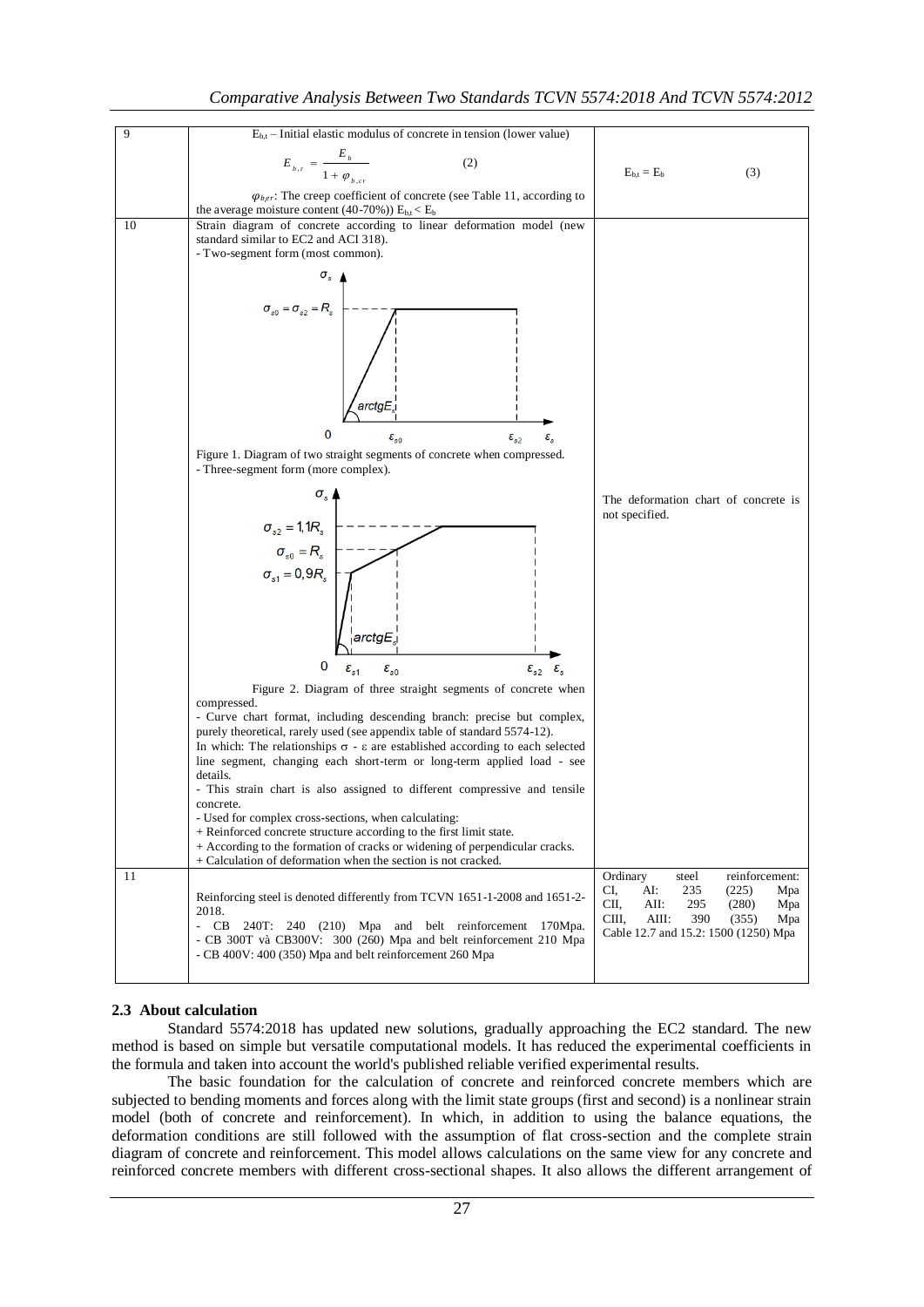

# **2.3 About calculation**

Standard 5574:2018 has updated new solutions, gradually approaching the EC2 standard. The new method is based on simple but versatile computational models. It has reduced the experimental coefficients in the formula and taken into account the world's published reliable verified experimental results.

The basic foundation for the calculation of concrete and reinforced concrete members which are subjected to bending moments and forces along with the limit state groups (first and second) is a nonlinear strain model (both of concrete and reinforcement). In which, in addition to using the balance equations, the deformation conditions are still followed with the assumption of flat cross-section and the complete strain diagram of concrete and reinforcement. This model allows calculations on the same view for any concrete and reinforced concrete members with different cross-sectional shapes. It also allows the different arrangement of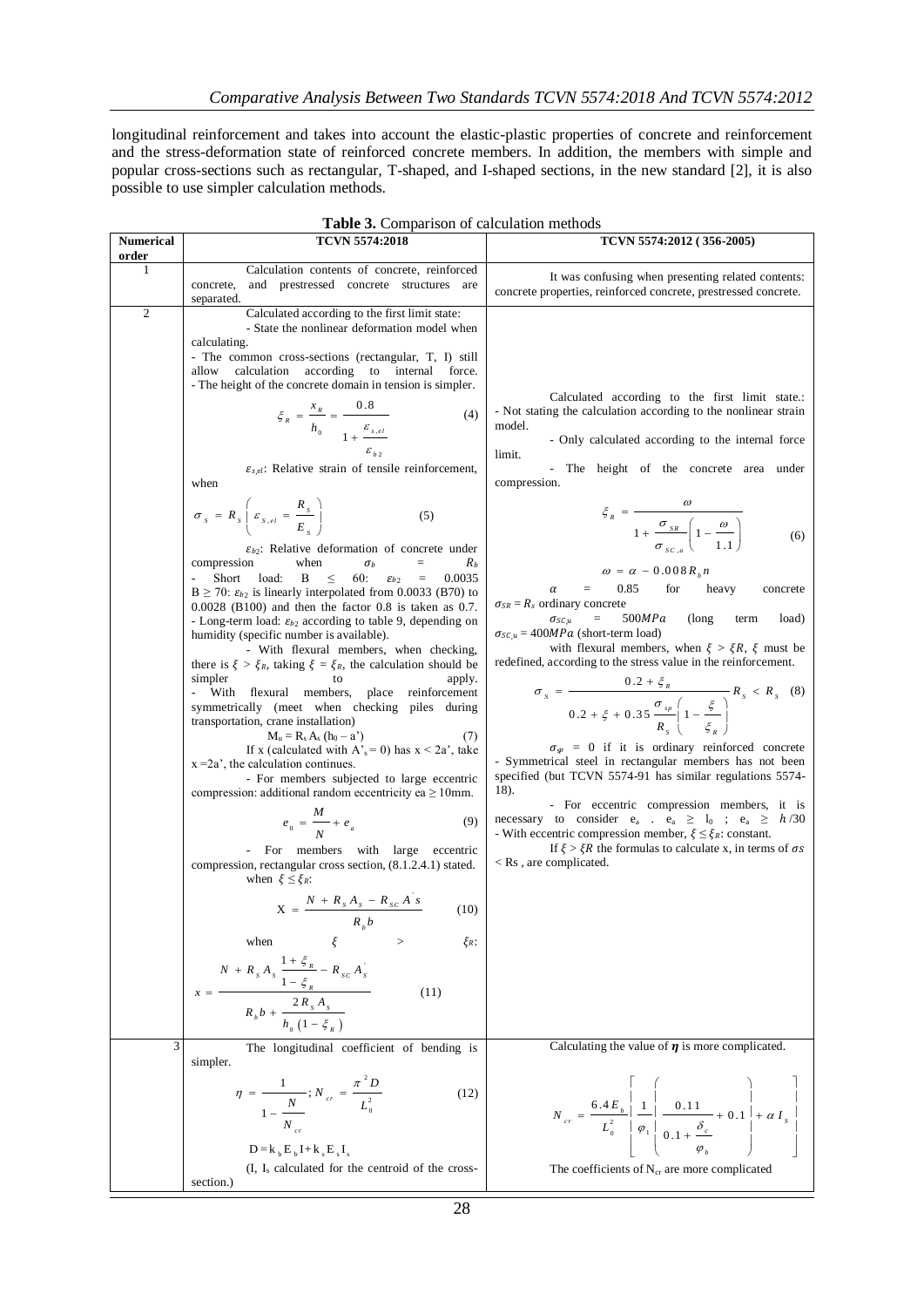longitudinal reinforcement and takes into account the elastic-plastic properties of concrete and reinforcement and the stress-deformation state of reinforced concrete members. In addition, the members with simple and popular cross-sections such as rectangular, T-shaped, and I-shaped sections, in the new standard [2], it is also possible to use simpler calculation methods.

| <b>Numerical</b>    | <b>TCVN 5574:2018</b>                                                                                                                                                                                                                                                                                                                                                                                                                                                                                                                                                                                                                                                                                                                                                                                                                                                                                                                                                                                                                                                                                                                                                                                                                                                                                                                                                                                                                                                                                                                                                                                                                                                                                                                                                                                                                                                                                                                                                        | TCVN 5574:2012 (356-2005)                                                                                                                                                                                                                                                                                                                                                                                                                                                                                                                                                                                                                                                                                                                                                                                                                                                                                                                                                                                                                                                                                                                                                                                                                                                                                                                                                                                                             |
|---------------------|------------------------------------------------------------------------------------------------------------------------------------------------------------------------------------------------------------------------------------------------------------------------------------------------------------------------------------------------------------------------------------------------------------------------------------------------------------------------------------------------------------------------------------------------------------------------------------------------------------------------------------------------------------------------------------------------------------------------------------------------------------------------------------------------------------------------------------------------------------------------------------------------------------------------------------------------------------------------------------------------------------------------------------------------------------------------------------------------------------------------------------------------------------------------------------------------------------------------------------------------------------------------------------------------------------------------------------------------------------------------------------------------------------------------------------------------------------------------------------------------------------------------------------------------------------------------------------------------------------------------------------------------------------------------------------------------------------------------------------------------------------------------------------------------------------------------------------------------------------------------------------------------------------------------------------------------------------------------------|---------------------------------------------------------------------------------------------------------------------------------------------------------------------------------------------------------------------------------------------------------------------------------------------------------------------------------------------------------------------------------------------------------------------------------------------------------------------------------------------------------------------------------------------------------------------------------------------------------------------------------------------------------------------------------------------------------------------------------------------------------------------------------------------------------------------------------------------------------------------------------------------------------------------------------------------------------------------------------------------------------------------------------------------------------------------------------------------------------------------------------------------------------------------------------------------------------------------------------------------------------------------------------------------------------------------------------------------------------------------------------------------------------------------------------------|
| order               |                                                                                                                                                                                                                                                                                                                                                                                                                                                                                                                                                                                                                                                                                                                                                                                                                                                                                                                                                                                                                                                                                                                                                                                                                                                                                                                                                                                                                                                                                                                                                                                                                                                                                                                                                                                                                                                                                                                                                                              |                                                                                                                                                                                                                                                                                                                                                                                                                                                                                                                                                                                                                                                                                                                                                                                                                                                                                                                                                                                                                                                                                                                                                                                                                                                                                                                                                                                                                                       |
| $\perp$             | Calculation contents of concrete, reinforced<br>concrete,<br>and prestressed concrete structures are<br>separated.                                                                                                                                                                                                                                                                                                                                                                                                                                                                                                                                                                                                                                                                                                                                                                                                                                                                                                                                                                                                                                                                                                                                                                                                                                                                                                                                                                                                                                                                                                                                                                                                                                                                                                                                                                                                                                                           | It was confusing when presenting related contents:<br>concrete properties, reinforced concrete, prestressed concrete.                                                                                                                                                                                                                                                                                                                                                                                                                                                                                                                                                                                                                                                                                                                                                                                                                                                                                                                                                                                                                                                                                                                                                                                                                                                                                                                 |
| $\mathfrak{2}$<br>3 | Calculated according to the first limit state:<br>- State the nonlinear deformation model when<br>calculating.<br>- The common cross-sections (rectangular, T, I) still<br>calculation according to internal force.<br>allow<br>- The height of the concrete domain in tension is simpler.<br>$\zeta_R = \frac{x_R}{h_0} = \frac{0.8}{1 + \frac{\varepsilon_{s,el}}{h_0}}$<br>(4)<br>$\varepsilon_{s,el}$ : Relative strain of tensile reinforcement,<br>when<br>$\sigma_{s} = R_{s} \left[ \varepsilon_{s,el} = \frac{R_{s}}{E} \right]$<br>(5)<br>$\varepsilon_{b2}$ : Relative deformation of concrete under<br>compression<br>when<br>$\sigma_b$<br>$R_b$<br>$=$<br>Short load:<br>60:<br>B<br>0.0035<br>$\leq$ .<br>$=$<br>$\varepsilon_{b2}$<br>$B \ge 70$ : $\varepsilon_{b2}$ is linearly interpolated from 0.0033 (B70) to<br>$0.0028$ (B100) and then the factor 0.8 is taken as 0.7.<br>- Long-term load: $\varepsilon_{b2}$ according to table 9, depending on<br>humidity (specific number is available).<br>- With flexural members, when checking,<br>there is $\xi > \xi_R$ , taking $\xi = \xi_R$ , the calculation should be<br>simpler<br>to<br>apply.<br>- With flexural members, place reinforcement<br>symmetrically (meet when checking piles during<br>transportation, crane installation)<br>$M_u = R_s A_s (h_0 - a')$<br>(7)<br>If x (calculated with $A_s^s = 0$ ) has $x < 2a^s$ , take<br>$x = 2a'$ , the calculation continues.<br>- For members subjected to large eccentric<br>compression: additional random eccentricity ea $\geq 10$ mm.<br>$e_0 = \frac{M}{N} + e_a$<br>(9)<br>- For members with large eccentric<br>compression, rectangular cross section, (8.1.2.4.1) stated.<br>when $\xi \leq \xi_R$ :<br>$X = \frac{N + R_s A_s - R_{sc} A_s}{R_b b}$<br>(10)<br>ξ<br>when<br>$\xi_R$ :<br>$x = \frac{N + R_s A_s \frac{1 + \xi_{_R}}{1 - \xi_{_R}} - R_{sc} A_s^{'} }{R_b b + \frac{2 R_s A_s}{h_{_0} (1 - \xi_{_R} )}}$<br>(11) | Calculated according to the first limit state.:<br>- Not stating the calculation according to the nonlinear strain<br>model.<br>- Only calculated according to the internal force<br>limit.<br>- The height of the concrete area under<br>compression.<br>$\xi_R = \frac{\omega}{1 + \frac{\sigma_{SR}}{\sigma} \left(1 - \frac{\omega}{1 - 1}\right)}$<br>(6)<br>$\omega = \alpha - 0.008 R_h n$<br>0.85<br>for<br>heavy<br>$=$<br>concrete<br>α<br>$\sigma_{SR} = R_s$ ordinary concrete<br>500MPa<br>(long)<br>$=$<br>term<br>load)<br>$\sigma$ sc $, u$<br>$\sigma_{SC,u} = 400 MPa$ (short-term load)<br>with flexural members, when $\xi > \xi R$ , $\xi$ must be<br>redefined, according to the stress value in the reinforcement.<br>$\sigma_s = \frac{0.2 + \zeta_R}{0.2 + \zeta + 0.35 \frac{\sigma_{sp}}{R_{\odot}} \left(1 - \frac{\zeta}{\zeta}\right)} R_s < R_s$ (8)<br>$\sigma_{sp}$ = 0 if it is ordinary reinforced concrete<br>- Symmetrical steel in rectangular members has not been<br>specified (but TCVN 5574-91 has similar regulations 5574-<br>18).<br>- For eccentric compression members, it is<br>necessary to consider $e_a$ . $e_a \geq l_0$ ; $e_a \geq h/30$<br>- With eccentric compression member, $\xi \leq \xi_R$ : constant.<br>If $\xi > \xi R$ the formulas to calculate x, in terms of $\sigma s$<br>$\langle$ Rs, are complicated.<br>Calculating the value of $\eta$ is more complicated. |
|                     | The longitudinal coefficient of bending is<br>simpler.                                                                                                                                                                                                                                                                                                                                                                                                                                                                                                                                                                                                                                                                                                                                                                                                                                                                                                                                                                                                                                                                                                                                                                                                                                                                                                                                                                                                                                                                                                                                                                                                                                                                                                                                                                                                                                                                                                                       |                                                                                                                                                                                                                                                                                                                                                                                                                                                                                                                                                                                                                                                                                                                                                                                                                                                                                                                                                                                                                                                                                                                                                                                                                                                                                                                                                                                                                                       |
|                     | $\eta = \frac{1}{1 - \frac{N}{N_{cr}}}; N_{cr} = \frac{\pi^2 D}{L_0^2}$<br>(12)<br>$D = k_b E_b I + k_s E_s I_s$<br>$(I, I_s)$ calculated for the centroid of the cross-                                                                                                                                                                                                                                                                                                                                                                                                                                                                                                                                                                                                                                                                                                                                                                                                                                                                                                                                                                                                                                                                                                                                                                                                                                                                                                                                                                                                                                                                                                                                                                                                                                                                                                                                                                                                     | $N_{cr} = \frac{6.4 E_b}{L_0^2} \left  \frac{1}{\varphi_1} \right  \frac{0.11}{0.1 + \frac{\delta_c}{\varphi}} + 0.1 \left  + \alpha I_s \right $<br>The coefficients of $N_{cr}$ are more complicated                                                                                                                                                                                                                                                                                                                                                                                                                                                                                                                                                                                                                                                                                                                                                                                                                                                                                                                                                                                                                                                                                                                                                                                                                                |
|                     | section.)                                                                                                                                                                                                                                                                                                                                                                                                                                                                                                                                                                                                                                                                                                                                                                                                                                                                                                                                                                                                                                                                                                                                                                                                                                                                                                                                                                                                                                                                                                                                                                                                                                                                                                                                                                                                                                                                                                                                                                    |                                                                                                                                                                                                                                                                                                                                                                                                                                                                                                                                                                                                                                                                                                                                                                                                                                                                                                                                                                                                                                                                                                                                                                                                                                                                                                                                                                                                                                       |
|                     | $\Omega$                                                                                                                                                                                                                                                                                                                                                                                                                                                                                                                                                                                                                                                                                                                                                                                                                                                                                                                                                                                                                                                                                                                                                                                                                                                                                                                                                                                                                                                                                                                                                                                                                                                                                                                                                                                                                                                                                                                                                                     |                                                                                                                                                                                                                                                                                                                                                                                                                                                                                                                                                                                                                                                                                                                                                                                                                                                                                                                                                                                                                                                                                                                                                                                                                                                                                                                                                                                                                                       |

|  | Table 3. Comparison of calculation methods |  |  |  |
|--|--------------------------------------------|--|--|--|
|--|--------------------------------------------|--|--|--|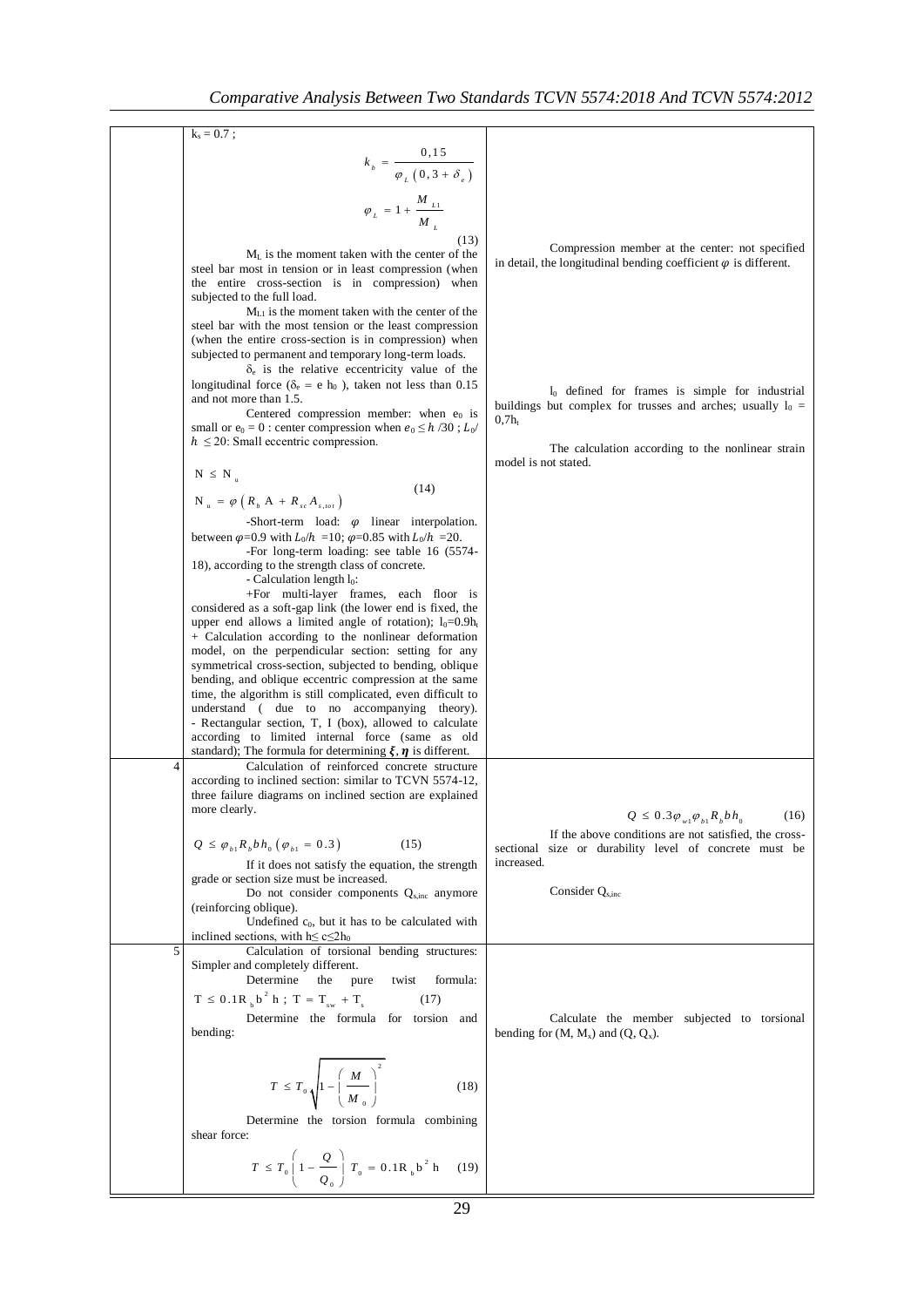|   | $k_s = 0.7$ ;                                                                                                         |                                                                                                                    |
|---|-----------------------------------------------------------------------------------------------------------------------|--------------------------------------------------------------------------------------------------------------------|
|   |                                                                                                                       |                                                                                                                    |
|   | $k_b = \frac{0.15}{\varphi_L (0.3 + \delta_e)}$                                                                       |                                                                                                                    |
|   |                                                                                                                       |                                                                                                                    |
|   | $\varphi_{L} = 1 + \frac{M_{L1}}{M_{L}}$                                                                              |                                                                                                                    |
|   |                                                                                                                       |                                                                                                                    |
|   | (13)                                                                                                                  | Compression member at the center: not specified                                                                    |
|   | $ML$ is the moment taken with the center of the                                                                       | in detail, the longitudinal bending coefficient $\varphi$ is different.                                            |
|   | steel bar most in tension or in least compression (when                                                               |                                                                                                                    |
|   | the entire cross-section is in compression) when<br>subjected to the full load.                                       |                                                                                                                    |
|   | $ML1$ is the moment taken with the center of the                                                                      |                                                                                                                    |
|   | steel bar with the most tension or the least compression                                                              |                                                                                                                    |
|   | (when the entire cross-section is in compression) when                                                                |                                                                                                                    |
|   | subjected to permanent and temporary long-term loads.                                                                 |                                                                                                                    |
|   | $\delta_e$ is the relative eccentricity value of the                                                                  |                                                                                                                    |
|   | longitudinal force ( $\delta_e$ = e h <sub>0</sub> ), taken not less than 0.15                                        | $l_0$ defined for frames is simple for industrial                                                                  |
|   | and not more than 1.5.                                                                                                | buildings but complex for trusses and arches; usually $l_0 =$                                                      |
|   | Centered compression member: when $e_0$ is<br>small or $e_0 = 0$ : center compression when $e_0 \le h/30$ ; $L_0$ /   | $0.7h_{t}$                                                                                                         |
|   | $h \leq 20$ : Small eccentric compression.                                                                            |                                                                                                                    |
|   |                                                                                                                       | The calculation according to the nonlinear strain<br>model is not stated.                                          |
|   | $N \leq N$                                                                                                            |                                                                                                                    |
|   | (14)                                                                                                                  |                                                                                                                    |
|   | $N_u = \varphi \left( R_b A + R_{sc} A_{s,tot} \right)$                                                               |                                                                                                                    |
|   | -Short-term load: $\varphi$ linear interpolation.                                                                     |                                                                                                                    |
|   | between $\varphi$ =0.9 with $L_0/h$ =10; $\varphi$ =0.85 with $L_0/h$ =20.                                            |                                                                                                                    |
|   | -For long-term loading: see table 16 (5574-                                                                           |                                                                                                                    |
|   | 18), according to the strength class of concrete.                                                                     |                                                                                                                    |
|   | - Calculation length $l_0$ :<br>+For multi-layer frames, each floor is                                                |                                                                                                                    |
|   | considered as a soft-gap link (the lower end is fixed, the                                                            |                                                                                                                    |
|   | upper end allows a limited angle of rotation); $l_0=0.9h_t$                                                           |                                                                                                                    |
|   | + Calculation according to the nonlinear deformation                                                                  |                                                                                                                    |
|   | model, on the perpendicular section: setting for any                                                                  |                                                                                                                    |
|   | symmetrical cross-section, subjected to bending, oblique                                                              |                                                                                                                    |
|   | bending, and oblique eccentric compression at the same<br>time, the algorithm is still complicated, even difficult to |                                                                                                                    |
|   | understand ( due to no accompanying theory).                                                                          |                                                                                                                    |
|   | - Rectangular section, T, I (box), allowed to calculate                                                               |                                                                                                                    |
|   | according to limited internal force (same as old                                                                      |                                                                                                                    |
|   | standard); The formula for determining $\xi$ , $\eta$ is different.                                                   |                                                                                                                    |
| 4 | Calculation of reinforced concrete structure<br>according to inclined section: similar to TCVN 5574-12,               |                                                                                                                    |
|   | three failure diagrams on inclined section are explained                                                              |                                                                                                                    |
|   | more clearly.                                                                                                         |                                                                                                                    |
|   |                                                                                                                       | $Q \leq 0.3 \varphi_{w1} \varphi_{b1} R_b b h_0$<br>(16)                                                           |
|   | $Q \leq \varphi_{b_1} R_b b h_0 (\varphi_{b_1} = 0.3)$<br>(15)                                                        | If the above conditions are not satisfied, the cross-<br>size or durability level of concrete must be<br>sectional |
|   | If it does not satisfy the equation, the strength                                                                     | increased.                                                                                                         |
|   | grade or section size must be increased.                                                                              |                                                                                                                    |
|   | Do not consider components $Q_{\text{s,inc}}$ anymore                                                                 | Consider $Q_{\rm sinc}$                                                                                            |
|   | (reinforcing oblique).                                                                                                |                                                                                                                    |
|   | Undefined $c_0$ , but it has to be calculated with                                                                    |                                                                                                                    |
|   | inclined sections, with $h \le c \le 2h_0$<br>Calculation of torsional bending structures:                            |                                                                                                                    |
| 5 | Simpler and completely different.                                                                                     |                                                                                                                    |
|   | Determine<br>the<br>pure<br>twist<br>formula:                                                                         |                                                                                                                    |
|   | $T \le 0.1R_b b^2 h$ ; $T = T_{sw} + T_s$<br>(17)                                                                     |                                                                                                                    |
|   |                                                                                                                       |                                                                                                                    |
|   | Determine the formula for torsion and                                                                                 | Calculate the member subjected to torsional                                                                        |
|   | bending:                                                                                                              | bending for $(M, M_x)$ and $(Q, Q_x)$ .                                                                            |
|   |                                                                                                                       |                                                                                                                    |
|   |                                                                                                                       |                                                                                                                    |
|   | $T \leq T_0 \sqrt{1 - \left(\frac{M}{M_0}\right)^2}$<br>(18)                                                          |                                                                                                                    |
|   |                                                                                                                       |                                                                                                                    |
|   | Determine the torsion formula combining<br>shear force:                                                               |                                                                                                                    |
|   |                                                                                                                       |                                                                                                                    |
|   | $T \leq T_0 \left(1 - \frac{Q}{Q_0}\right) T_0 = 0.1 R_b b^2 h$<br>(19)                                               |                                                                                                                    |
|   |                                                                                                                       |                                                                                                                    |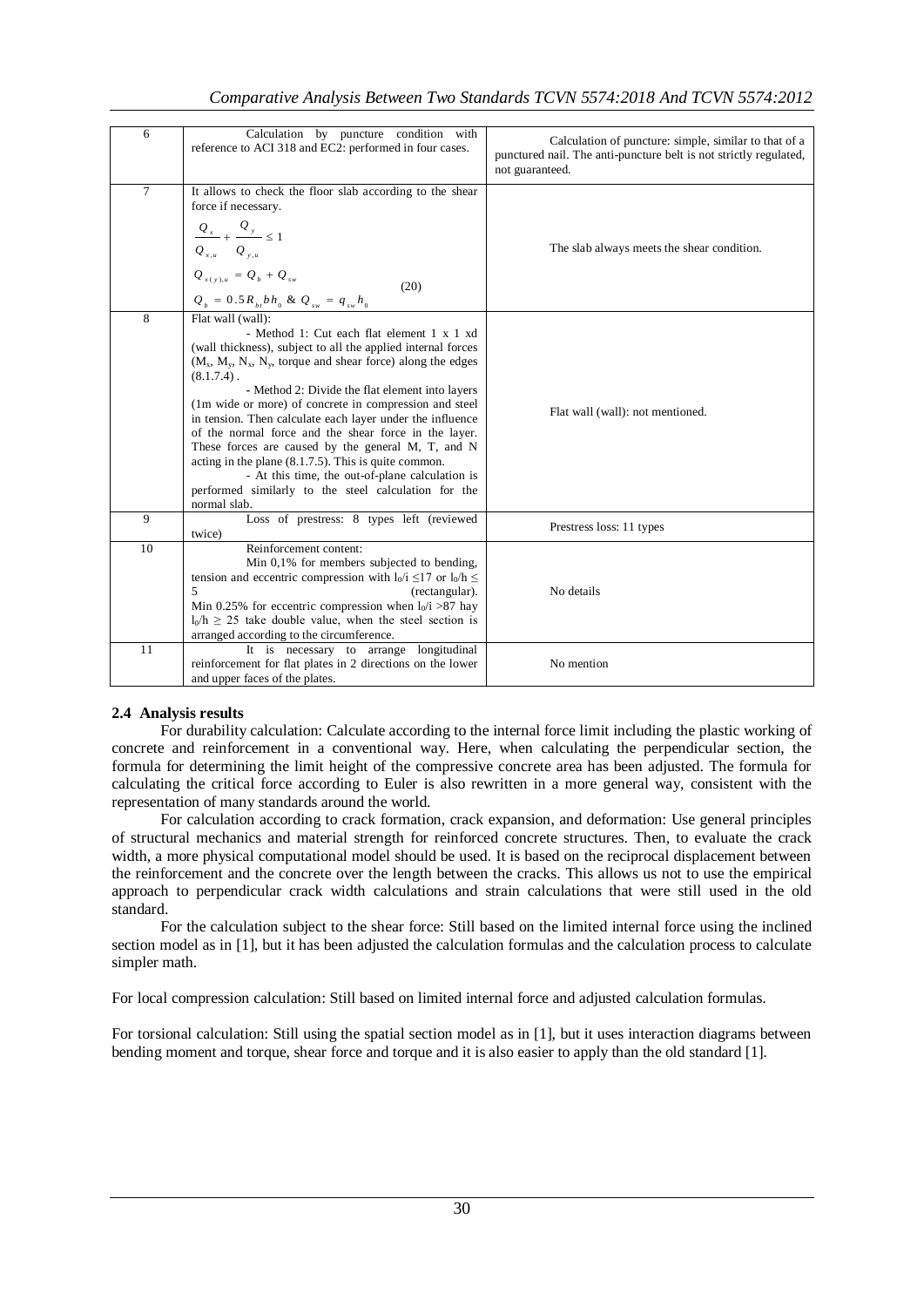# *Comparative Analysis Between Two Standards TCVN 5574:2018 And TCVN 5574:2012*

| 6      | Calculation by puncture condition with<br>reference to ACI 318 and EC2: performed in four cases.                                                                                                                                                                                                                                                                                                                                                                                                                                                                                                                                                                                                    | Calculation of puncture: simple, similar to that of a<br>punctured nail. The anti-puncture belt is not strictly regulated,<br>not guaranteed. |
|--------|-----------------------------------------------------------------------------------------------------------------------------------------------------------------------------------------------------------------------------------------------------------------------------------------------------------------------------------------------------------------------------------------------------------------------------------------------------------------------------------------------------------------------------------------------------------------------------------------------------------------------------------------------------------------------------------------------------|-----------------------------------------------------------------------------------------------------------------------------------------------|
| $\tau$ | It allows to check the floor slab according to the shear<br>force if necessary.<br>$\frac{Q_x}{\cdots} + \frac{Q_y}{\cdots} \leq 1$<br>$Q_{x,u}$ $Q_{y,u}$<br>$Q_{x(y),u} = Q_{b} + Q_{sw}$<br>(20)<br>$Q_{_b}$ = $0.5\,R_{_{bt}}b\,h_{_0}$ & $Q_{_{sw}}$ = $q_{_{sw}}h_{_0}$                                                                                                                                                                                                                                                                                                                                                                                                                       | The slab always meets the shear condition.                                                                                                    |
| 8      | Flat wall (wall):<br>- Method 1: Cut each flat element 1 x 1 xd<br>(wall thickness), subject to all the applied internal forces<br>$(M_x, M_y, N_x, N_y)$ , torque and shear force) along the edges<br>$(8.1.7.4)$ .<br>- Method 2: Divide the flat element into layers<br>(1m wide or more) of concrete in compression and steel<br>in tension. Then calculate each layer under the influence<br>of the normal force and the shear force in the layer.<br>These forces are caused by the general M, T, and N<br>acting in the plane $(8.1.7.5)$ . This is quite common.<br>- At this time, the out-of-plane calculation is<br>performed similarly to the steel calculation for the<br>normal slab. | Flat wall (wall): not mentioned.                                                                                                              |
| 9      | Loss of prestress: 8 types left (reviewed<br>twice)                                                                                                                                                                                                                                                                                                                                                                                                                                                                                                                                                                                                                                                 | Prestress loss: 11 types                                                                                                                      |
| 10     | Reinforcement content:<br>Min 0,1% for members subjected to bending,<br>tension and eccentric compression with $l_0/i \leq 17$ or $l_0/h \leq$<br>5<br>(rectangular).<br>Min 0.25% for eccentric compression when $l_0/i > 87$ hay<br>$l_0/h \ge 25$ take double value, when the steel section is<br>arranged according to the circumference.                                                                                                                                                                                                                                                                                                                                                       | No details                                                                                                                                    |
| 11     | It is necessary to arrange longitudinal<br>reinforcement for flat plates in 2 directions on the lower<br>and upper faces of the plates.                                                                                                                                                                                                                                                                                                                                                                                                                                                                                                                                                             | No mention                                                                                                                                    |

# **2.4 Analysis results**

For durability calculation: Calculate according to the internal force limit including the plastic working of concrete and reinforcement in a conventional way. Here, when calculating the perpendicular section, the formula for determining the limit height of the compressive concrete area has been adjusted. The formula for calculating the critical force according to Euler is also rewritten in a more general way, consistent with the representation of many standards around the world.

For calculation according to crack formation, crack expansion, and deformation: Use general principles of structural mechanics and material strength for reinforced concrete structures. Then, to evaluate the crack width, a more physical computational model should be used. It is based on the reciprocal displacement between the reinforcement and the concrete over the length between the cracks. This allows us not to use the empirical approach to perpendicular crack width calculations and strain calculations that were still used in the old standard.

For the calculation subject to the shear force: Still based on the limited internal force using the inclined section model as in [1], but it has been adjusted the calculation formulas and the calculation process to calculate simpler math.

For local compression calculation: Still based on limited internal force and adjusted calculation formulas.

For torsional calculation: Still using the spatial section model as in [1], but it uses interaction diagrams between bending moment and torque, shear force and torque and it is also easier to apply than the old standard [1].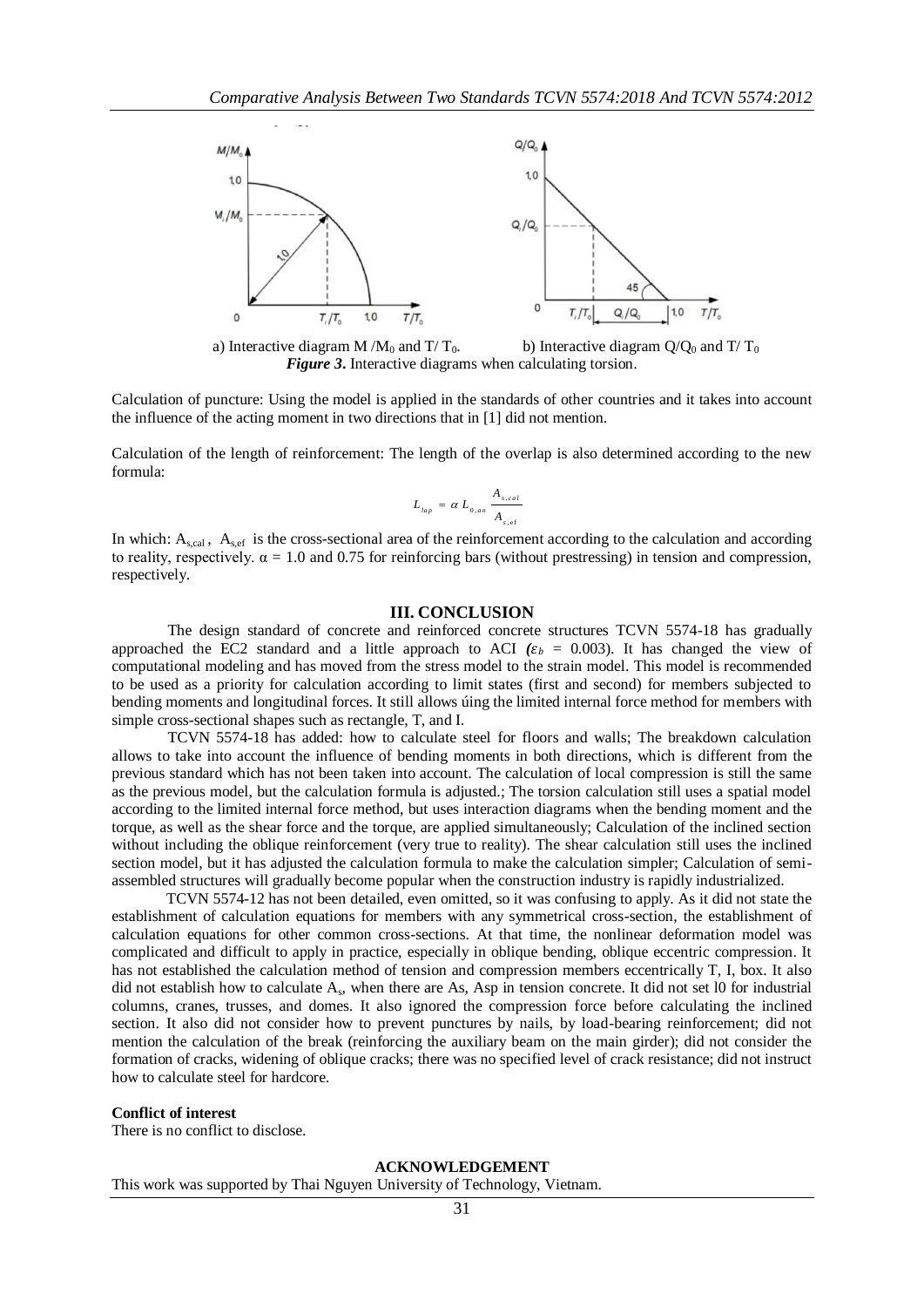

a) Interactive diagram M /M<sub>0</sub> and T/ T<sub>0</sub>. b) Interactive diagram  $Q/Q_0$  and T/ T<sub>0</sub> *Figure 3***.** Interactive diagrams when calculating torsion.

Calculation of puncture: Using the model is applied in the standards of other countries and it takes into account the influence of the acting moment in two directions that in [1] did not mention.

Calculation of the length of reinforcement: The length of the overlap is also determined according to the new formula:

$$
L_{_{lap}} = \alpha L_{_{0,an}} \frac{A_{_{s,cal}}}{A_{_{s,ef}}}
$$

In which:  $A_{s,cal}$ ,  $A_{s,ef}$  is the cross-sectional area of the reinforcement according to the calculation and according to reality, respectively.  $\alpha = 1.0$  and 0.75 for reinforcing bars (without prestressing) in tension and compression, respectively.

## **III. CONCLUSION**

The design standard of concrete and reinforced concrete structures TCVN 5574-18 has gradually approached the EC2 standard and a little approach to ACI  $(\varepsilon_b = 0.003)$ . It has changed the view of computational modeling and has moved from the stress model to the strain model. This model is recommended to be used as a priority for calculation according to limit states (first and second) for members subjected to bending moments and longitudinal forces. It still allows úing the limited internal force method for members with simple cross-sectional shapes such as rectangle, T, and I.

TCVN 5574-18 has added: how to calculate steel for floors and walls; The breakdown calculation allows to take into account the influence of bending moments in both directions, which is different from the previous standard which has not been taken into account. The calculation of local compression is still the same as the previous model, but the calculation formula is adjusted.; The torsion calculation still uses a spatial model according to the limited internal force method, but uses interaction diagrams when the bending moment and the torque, as well as the shear force and the torque, are applied simultaneously; Calculation of the inclined section without including the oblique reinforcement (very true to reality). The shear calculation still uses the inclined section model, but it has adjusted the calculation formula to make the calculation simpler; Calculation of semiassembled structures will gradually become popular when the construction industry is rapidly industrialized.

TCVN 5574-12 has not been detailed, even omitted, so it was confusing to apply. As it did not state the establishment of calculation equations for members with any symmetrical cross-section, the establishment of calculation equations for other common cross-sections. At that time, the nonlinear deformation model was complicated and difficult to apply in practice, especially in oblique bending, oblique eccentric compression. It has not established the calculation method of tension and compression members eccentrically T, I, box. It also did not establish how to calculate  $A_s$ , when there are As, Asp in tension concrete. It did not set 10 for industrial columns, cranes, trusses, and domes. It also ignored the compression force before calculating the inclined section. It also did not consider how to prevent punctures by nails, by load-bearing reinforcement; did not mention the calculation of the break (reinforcing the auxiliary beam on the main girder); did not consider the formation of cracks, widening of oblique cracks; there was no specified level of crack resistance; did not instruct how to calculate steel for hardcore.

### **Conflict of interest**

There is no conflict to disclose.

#### **ACKNOWLEDGEMENT**

This work was supported by Thai Nguyen University of Technology, Vietnam.